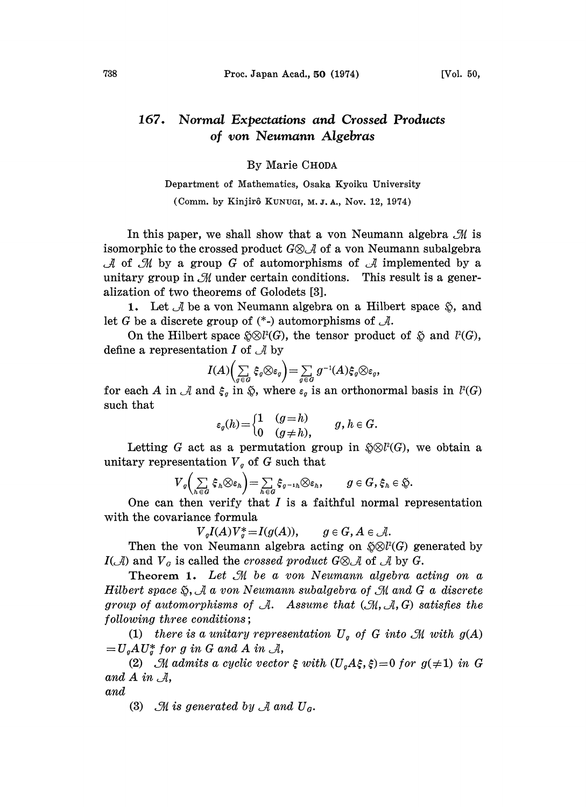## 167. Normal Expectations and Crossed Products of yon Neumann Algebras

By Marie CHODA

Department of Mathematics, Osaka Kyoiku University (Comm. by Kinjirô KUNUGI, M.J.A., Nov. 12, 1974)

In this paper, we shall show that a von Neumann algebra  $\mathcal{M}$  is isomorphic to the crossed product  $G \otimes_{\mathcal{A}} \mathcal{A}$  of a yon Neumann subalgebra of  $\mathcal M$  by a group  $G$  of automorphisms of  $\mathcal A$  implemented by a tary group in  $\mathcal M$  under certain conditions. This result is a generation of two theorems of Golodets [3].<br>1. Let  $\mathcal A$  be a von Neumann algebra on a unitary group in  $\mathcal M$  under certain conditions. This result is a generalization of two theorems of Golodets [3].

1. Let  $\mathcal A$  be a von Neumann algebra on a Hilbert space  $\mathfrak{D}$ , and let G be a discrete group of  $(*)$  automorphisms of  $\mathcal{A}$ .

On the Hilbert space  $\delta \otimes l^2(G)$ , the tensor product of  $\delta$  and  $l^2(G)$ , define a representation I of  $\mathcal A$  by

$$
I(A)\Big(\sum_{g\in G}\xi_g\otimes \varepsilon_g\Big)=\sum_{g\in G}g^{-1}(A)\xi_g\otimes \varepsilon_g,
$$

for each A in  $\mathcal A$  and  $\xi_g$  in  $\tilde{\varphi}$ , where  $\varepsilon_g$  is an orthonormal basis in  $l^2(G)$ such that

$$
\varepsilon_g(h) = \begin{cases} 1 & (g = h) \\ 0 & (g \neq h), \end{cases} \qquad g, h \in G.
$$

Letting G act as a permutation group in  $\mathfrak{D}(\mathbb{C})$ , we obtain a unitary representation  $V<sub>g</sub>$  of G such that

$$
V_g\left(\sum_{h\in G}\xi_h\otimes \varepsilon_h\right)=\sum_{h\in G}\xi_{g-1h}\otimes \varepsilon_h, \qquad g\in G, \xi_h\in \mathfrak{H}.
$$

One can then verify that  $I$  is a faithful normal representation with the covariance formula

$$
V_gI(A)V_g^* = I(g(A)), \qquad g \in G, A \in \mathcal{A}.
$$

Then the von Neumann algebra acting on  $\tilde{N} \otimes l^2(G)$  generated by  $I(\mathcal{A})$  and  $V_g$  is called the *crossed product*  $G \otimes \mathcal{A}$  of  $\mathcal{A}$  by  $G$ .

Theorem 1. Let  $\mathcal M$  be a von Neumann algebra acting on a Hilbert space  $\mathfrak{H}, \mathcal{A}$  a von Neumann subalgebra of  $\mathcal{M}$  and G a discrete group of automorphisms of  $\mathcal{A}$ . Assume that  $(\mathcal{M}, \mathcal{A}, G)$  satisfies the following three conditions;

(1) there is a unitary representation  $U_q$  of G into  $\mathcal M$  with  $g(A)$  $=U_aAU_a^*$  for g in G and A in  $\mathcal{A}$ ,

(2) M admits a cyclic vector  $\xi$  with  $(U_oA\xi, \xi)=0$  for  $g(\neq 1)$  in G and  $A$  in  $\mathcal{A}$ ,

and

(3)  $\mathcal{M}$  is generated by  $\mathcal{A}$  and  $U_{\alpha}$ .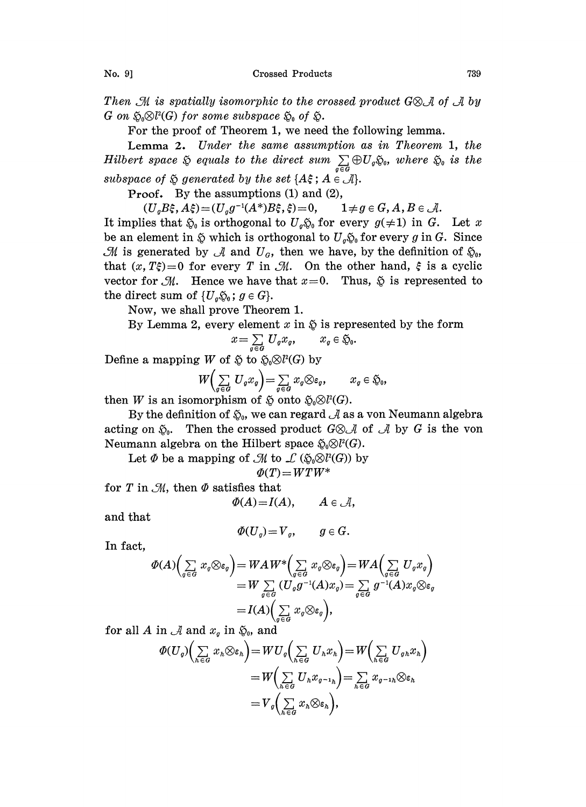No. 9] Crossed Products 739

Then  $\mathcal M$  is spatially isomorphic to the crossed product G\& A of  $\mathcal A$  by  $G$  on  $\mathfrak{H}_0 \otimes l^2(G)$  for some subspace  $\mathfrak{H}_0$  of  $\mathfrak{H}$ .

For the proof of Theorem 1, we need the following lemma.

Lemma 2. Under the same assumption as in Theorem 1, the Hilbert space  $\tilde{\Leftrightarrow}$  equals to the direct sum  $\sum\limits_{g\in G}\oplus U_g\tilde{\Leftrightarrow}_g$ , where  $\tilde{\Leftrightarrow}_g$  is the subspace of  $\tilde{Q}$  generated by the set  $\{A\xi; A \in \mathcal{A}\}$ .

Proof. By the assumptions (1) and (2),

 $(U_{g}B_{\xi}, A_{\xi})=(U_{g}g^{-1}(A^{*})B_{\xi}, \xi)=0, \qquad 1 \neq g \in G, A, B \in \mathcal{A}.$ 

It implies that  $\tilde{\mathfrak{g}}_0$  is orthogonal to  $U_q\tilde{\mathfrak{g}}_0$  for every  $g(\neq 1)$  in G. Let x be an element in  $\tilde{\varphi}$  which is orthogonal to  $U_q\tilde{\varphi}_0$  for every g in G. Since  $\mathcal M$  is generated by  $\mathcal A$  and  $U_{\alpha}$ , then we have, by the definition of  $\mathfrak{H}_0$ , that  $(x, T\xi)=0$  for every T in M. On the other hand,  $\xi$  is a cyclic vector for  $\mathcal{M}$ . Hence we have that  $x=0$ . Thus,  $\tilde{\varphi}$  is represented to the direct sum of  $\{U_q\tilde{\varphi}_0\colon g\in G\}.$ 

Now, we shall prove Theorem 1.

By Lemma 2, every element x in  $\tilde{\psi}$  is represented by the form  $x = \sum_{g \in G} U_g x_g$ ,  $x_g \in \tilde{\psi}_0$ .

$$
x = \sum_{g \in G} U_g x_g, \qquad x_g \in \mathfrak{H}_0.
$$

Define a mapping  $W$  of  $\circledast$  to  $\circledast_0\otimes l^2(G)$  by

$$
W\left(\sum_{g\in G} U_g x_g\right) = \sum_{g\in G} x_g \otimes \varepsilon_g, \qquad x_g \in \mathfrak{H}_0,
$$

then W is an isomorphism of  $\tilde{\varphi}$  onto  $\tilde{\varphi}_0\otimes l^2(G)$ .

By the definition of  $\mathfrak{g}_0$ , we can regard  $\mathcal A$  as a von Neumann algebra acting on  $\mathfrak{g}_0$ . Then the crossed product  $G \otimes \mathcal{A}$  of  $\mathcal{A}$  by G is the von Neumann algebra on the Hilbert space  $\mathfrak{H}_0 \otimes l^2(G)$ .

Let  $\Phi$  be a mapping of  $\mathcal M$  to  $\mathcal L$  ( $\tilde{\varphi}_0 \otimes l^2(G)$ ) by

$$
\Phi(T) = W T W^*
$$

for T in  $M$ , then  $\Phi$  satisfies that

$$
\Phi(A) = I(A), \qquad A \in \mathcal{A},
$$

and that

$$
\Phi(U_q)=V_q, \qquad g\in G.
$$

In fact,

$$
\varPhi(A)\Big(\sum\limits_{g\in G}x_g\otimes \varepsilon_g\Big)=WAW^*\Big(\sum\limits_{g\in G}x_g\otimes \varepsilon_g\Big)=WA\Big(\sum\limits_{g\in G}U_gx_g\Big)\\=W\sum\limits_{g\in G}\left(U_gg^{-1}(A)x_g\right)=\sum\limits_{g\in G}g^{-1}(A)x_g\otimes \varepsilon_g\\=I(A)\Big(\sum\limits_{g\in G}x_g\otimes \varepsilon_g\Big),
$$

for all A in  $\mathcal A$  and  $x_g$  in  $\mathfrak{S}_0$ , and

$$
\Phi(U_{\sigma})\Big(\sum_{h\in G}x_{h}\otimes\varepsilon_{h}\Big)=WU_{\sigma}\Big(\sum_{h\in G}U_{h}x_{h}\Big)=W\Big(\sum_{h\in G}U_{\sigma h}x_{h}\Big)
$$

$$
=W\Big(\sum_{h\in G}U_{h}x_{\sigma^{-1}h}\Big)=\sum_{h\in G}x_{\sigma^{-1}h}\otimes\varepsilon_{h}
$$

$$
=V_{\sigma}\Big(\sum_{h\in G}x_{h}\otimes\varepsilon_{h}\Big),
$$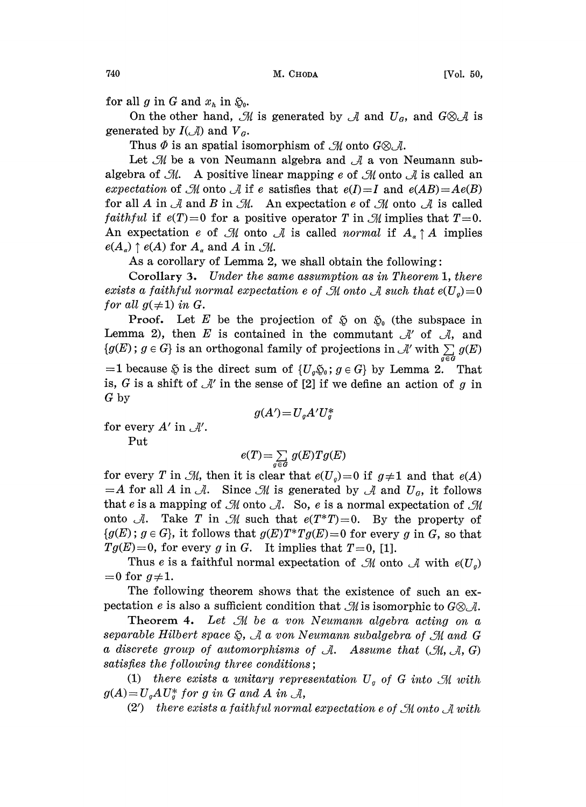740 M. CHODA [Vol. 50,

for all g in G and  $x_h$  in  $\mathfrak{S}_0$ .

On the other hand, M is generated by  $\mathcal A$  and  $U_{\sigma}$ , and  $G \otimes \mathcal A$  is generated by  $I(\mathcal{A})$  and  $V_a$ .

Thus  $\Phi$  is an spatial isomorphism of  $\mathcal{M}$  onto  $G \otimes \mathcal{A}$ .

Let  $\mathcal M$  be a von Neumann algebra and  $\mathcal A$  a von Neumann subalgebra of  $\mathcal{M}$ . A positive linear mapping e of  $\mathcal M$  onto  $\mathcal A$  is called an expectation of M onto A if e satisfies that  $e(I)=I$  and  $e(AB)=Ae(B)$ for all A in  $\mathcal A$  and B in  $\mathcal M$ . An expectation e of  $\mathcal M$  onto  $\mathcal A$  is called *faithful* if  $e(T)=0$  for a positive operator T in  $\mathcal{M}$  implies that  $T=0$ . An expectation e of M onto A is called normal if  $A_{\alpha} \uparrow A$  implies  $e(A_{\alpha}) \uparrow e(A)$  for  $A_{\alpha}$  and A in  $\mathcal{M}$ .

As a corollary of Lemma 2, we shall obtain the following:

Corollary 3. Under the same assumption as in Theorem 1, there exists a faithful normal expectation e of  $\mathcal M$  onto  $\mathcal A$  such that  $e(U_q)=0$ for all  $g(\neq 1)$  in G.

**Proof.** Let E be the projection of  $\tilde{\varphi}$  on  $\tilde{\varphi}_0$  (the subspace in Lemma 2), then E is contained in the commutant  $\mathcal{A}'$  of  $\mathcal{A}$ , and  $\{g(E)\,;\,g\in G\}$  is an orthogonal family of projections in  $\mathcal{A}'$  with  $\sum g(E)$ Lemma 2), then E is contained in the commutant  $\mathcal{A}'$  of  $\mathcal{A}$ , and  $=1$  because  $\tilde{\varphi}$  is the direct sum of  $\{U_q\tilde{\varphi}_0: q \in G\}$  by Lemma 2. That is, G is a shift of  $\mathcal{A}'$  in the sense of [2] if we define an action of g in G by G by

$$
g(A')\!=\!U_gA'U_g^*
$$

for every  $A'$  in  $\mathcal{A}'$ . Put

$$
e(T) = \sum_{g \in G} g(E) T g(E)
$$

for every T in  $\mathcal{M}$ , then it is clear that  $e(U_q)=0$  if  $g\neq 1$  and that  $e(A)$  $=A$  for all A in  $\mathcal{A}$ . Since  $\mathcal{M}$  is generated by  $\mathcal{A}$  and  $U_{\mathcal{G}}$ , it follows that e is a mapping of  $\mathcal M$  onto  $\mathcal A$ . So, e is a normal expectation of  $\mathcal M$ onto A. Take T in M such that  $e(T^*T)=0$ . By the property of  ${g(E)$ ;  $g \in G}$ , it follows that  $g(E)T^*Tg(E)=0$  for every g in G, so that  $Tg(E)=0$ , for every g in G. It implies that  $T=0$ , [1].

Thus e is a faithful normal expectation of  $\mathcal M$  onto  $\mathcal A$  with  $e(U_q)$  $=0$  for  $g\neq 1$ .

The following theorem shows that the existence of such an expectation e is also a sufficient condition that  $\mathcal{M}$  is isomorphic to  $G \otimes \mathcal{A}$ .

Theorem 4. Let  $\mathcal M$  be a von Neumann algebra acting on a separable Hilbert space  $\tilde{\mathfrak{g}},$  A a von Neumann subalgebra of  $\mathfrak M$  and G a discrete group of automorphisms of  $\mathcal{A}$ . Assume that  $(\mathcal{M}, \mathcal{A}, G)$ satisfies the following three conditions;

(1) there exists a unitary representation  $U<sub>o</sub>$  of G into  $\mathfrak{M}$  with  $g(A)=U_q A U_q^*$  for g in G and A in  $\mathcal{A}$ ,

 $(2')$  there exists a faithful normal expectation e of  $\mathcal M$  onto  $\mathcal A$  with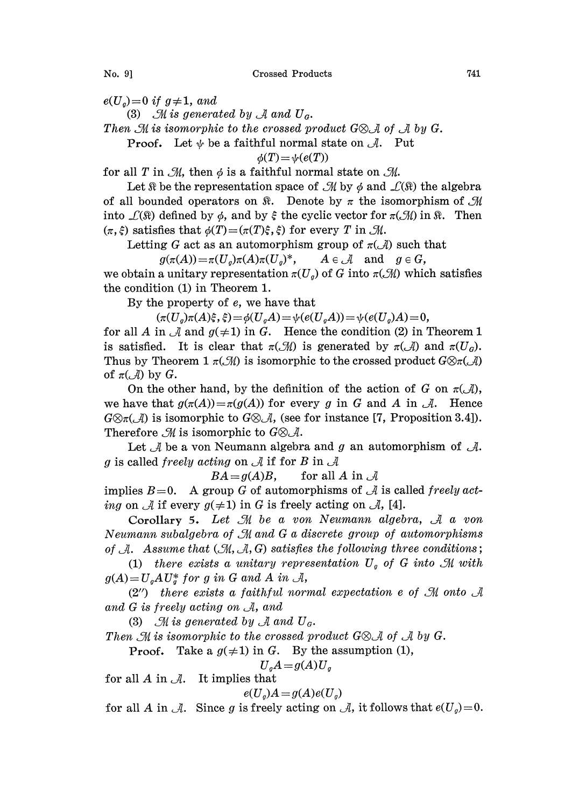No. 9] Crossed Products 741

 $e(U_a)=0$  if  $g\neq 1$ , and

(3)  $\mathcal M$  is generated by  $\mathcal A$  and  $U_a$ .

Then  $\mathcal M$  is isomorphic to the crossed product G\& A of A by G.

**Proof.** Let  $\psi$  be a faithful normal state on  $\mathcal{A}$ . Put

$$
\phi(T)\!=\!\psi(e(T))
$$

for all T in  $\mathcal{M}$ , then  $\phi$  is a faithful normal state on  $\mathcal{M}$ .

Let  $\Re$  be the representation space of  $\mathcal{M}$  by  $\phi$  and  $\mathcal{L}(\Re)$  the algebra of all bounded operators on  $\mathbb{R}$ . Denote by  $\pi$  the isomorphism of  $\mathcal{M}$ into  $\mathcal{L}(\mathbb{\Omega})$  defined by  $\phi$ , and by  $\xi$  the cyclic vector for  $\pi(\mathcal{M})$  in  $\mathbb{\Omega}$ . Then  $(\pi, \xi)$  satisfies that  $\phi(T)=(\pi(T)\xi, \xi)$  for every T in  $\mathcal{M}$ .

Letting G act as an automorphism group of  $\pi(\mathcal{A})$  such that<br>  $g(\pi(A)) = \pi(U_o)\pi(A)\pi(U_o)^*$ ,  $A \in \mathcal{A}$  and  $g \in G$ ,

 $g(\pi(A))=\pi(U_a)\pi(A)\pi(U_a)^*,$ we obtain a unitary representation  $\pi(U_q)$  of G into  $\pi(\mathcal{M})$  which satisfies the condition (1) in Theorem 1.

By the property of e, we have that

 $(\pi(U_o)\pi(A)\xi, \xi) = \phi(U_oA) = \psi(e(U_oA)) = \psi(e(U_o)A) = 0,$ 

for all A in  $\mathcal A$  and  $g(\neq 1)$  in G. Hence the condition (2) in Theorem 1 is satisfied. It is clear that  $\pi(\mathcal{M})$  is generated by  $\pi(\mathcal{A})$  and  $\pi(U_q)$ . Thus by Theorem 1  $\pi(\mathcal{M})$  is isomorphic to the crossed product  $G \otimes \pi(\mathcal{A})$ of  $\pi(\mathcal{A})$  by  $G$ .

On the other hand, by the definition of the action of G on  $\pi(\mathcal{A})$ , we have that  $g(\pi(A)) = \pi(g(A))$  for every g in G and A in  $\mathcal{A}$ . Hence  $G \otimes_{\pi}(\mathcal{A})$  is isomorphic to  $G \otimes \mathcal{A}$ , (see for instance [7, Proposition 3.4]). Therefore  $\mathcal{M}$  is isomorphic to  $G \otimes \mathcal{A}$ .

Let  $\mathcal A$  be a von Neumann algebra and g an automorphism of  $\mathcal A$ . g is called *freely acting* on  $\mathcal A$  if for B in  $\mathcal A$ 

 $BA = g(A)B$ , for all A in  $\mathcal A$ 

implies  $B=0$ . A group G of automorphisms of A is called freely acting on  $\mathcal A$  if every  $g(\neq 1)$  in G is freely acting on  $\mathcal A$ , [4].

Corollary 5. Let  $\mathcal M$  be a von Neumann algebra,  $\mathcal A$  a von Neumann subalgebra of M and G a discrete group of automorphisms of  $\mathcal{A}$ . Assume that  $(\mathcal{M}, \mathcal{A}, G)$  satisfies the following three conditions;

(1) there exists a unitary representation  $U<sub>o</sub>$  of G into M with  $g(A)=U_aAU_a^*$  for g in G and A in  $\mathcal{A}$ ,

 $(2'')$  there exists a faithful normal expectation e of  $\mathcal M$  onto  $\mathcal A$ and  $G$  is freely acting on  $A$ , and

(3)  $\mathcal{M}$  is generated by  $\mathcal{A}$  and  $U_{\mathcal{G}}$ .

Then M is isomorphic to the crossed product  $G \otimes A$  of  $A$  by  $G$ .<br>Proof. Take a  $g(\neq 1)$  in  $G$ . By the assumption (1),

Take a  $g(\neq 1)$  in G. By the assumption (1),

 $U_aA = g(A)U_a$ 

for all  $A$  in  $\mathcal{A}$ . It implies that

 $e(U_a)A = g(A)e(U_a)$ 

for all A in A. Since g is freely acting on A, it follows that  $e(U_q)=0$ .